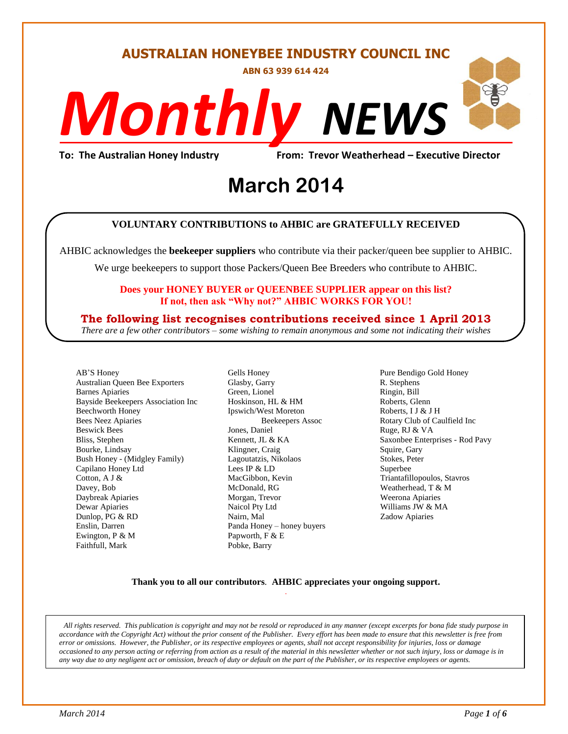# **AUSTRALIAN HONEYBEE INDUSTRY COUNCIL INC**

**ABN 63 939 614 424**

# *NEWS Monthly*

**To: The Australian Honey Industry From: Trevor Weatherhead – Executive Director**

# evor weathern<br>14 **March 2014**

#### **VOLUNTARY CONTRIBUTIONS to AHBIC are GRATEFULLY RECEIVED**

AHBIC acknowledges the **beekeeper suppliers** who contribute via their packer/queen bee supplier to AHBIC.

We urge beekeepers to support those Packers/Queen Bee Breeders who contribute to AHBIC.

#### **Does your HONEY BUYER or QUEENBEE SUPPLIER appear on this list? If not, then ask "Why not?" AHBIC WORKS FOR YOU!**

## **The following list recognises contributions received since 1 April 2013**

*There are a few other contributors – some wishing to remain anonymous and some not indicating their wishes*

AB'S Honey Australian Queen Bee Exporters Barnes Apiaries Bayside Beekeepers Association Inc Beechworth Honey Bees Neez Apiaries Beswick Bees Bliss, Stephen Bourke, Lindsay Bush Honey - (Midgley Family) Capilano Honey Ltd Cotton, A J & Davey, Bob Daybreak Apiaries Dewar Apiaries Dunlop, PG & RD Enslin, Darren Ewington, P & M Faithfull, Mark

Gells Honey Glasby, Garry Green, Lionel Hoskinson, HL & HM Ipswich/West Moreton Beekeepers Assoc Jones, Daniel Kennett, JL & KA Klingner, Craig Lagoutatzis, Nikolaos Lees IP & LD MacGibbon, Kevin McDonald, RG Morgan, Trevor Naicol Pty Ltd Nairn, Mal Panda Honey – honey buyers Papworth, F & E Pobke, Barry

Pure Bendigo Gold Honey R. Stephens Ringin, Bill Roberts, Glenn Roberts, I J & J H Rotary Club of Caulfield Inc Ruge, RJ & VA Saxonbee Enterprises - Rod Pavy Squire, Gary Stokes, Peter Superbee Triantafillopoulos, Stavros Weatherhead, T & M Weerona Apiaries Williams JW & MA Zadow Apiaries

#### **Thank you to all our contributors***.* **AHBIC appreciates your ongoing support.** .

*All rights reserved. This publication is copyright and may not be resold or reproduced in any manner (except excerpts for bona fide study purpose in accordance with the Copyright Act) without the prior consent of the Publisher. Every effort has been made to ensure that this newsletter is free from error or omissions. However, the Publisher, or its respective employees or agents, shall not accept responsibility for injuries, loss or damage occasioned to any person acting or referring from action as a result of the material in this newsletter whether or not such injury, loss or damage is in any way due to any negligent act or omission, breach of duty or default on the part of the Publisher, or its respective employees or agents.*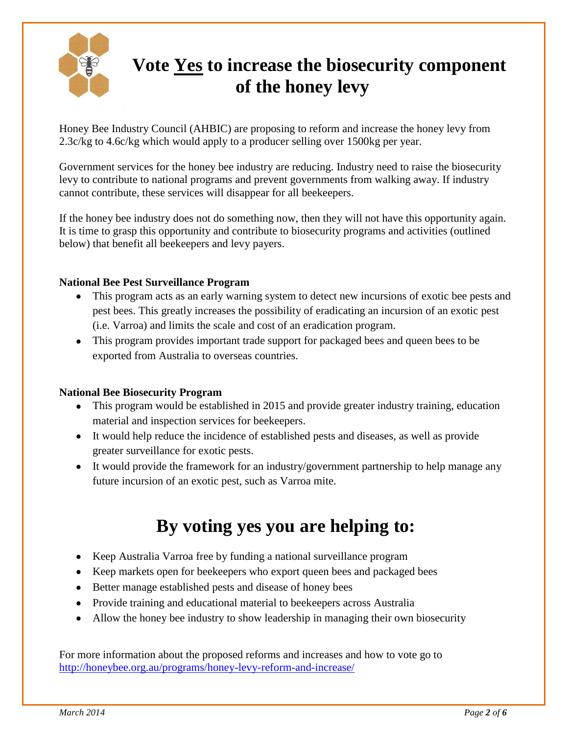

# **Vote Yes to increase the biosecurity component of the honey levy**

Honey Bee Industry Council (AHBIC) are proposing to reform and increase the honey levy from 2.3c/kg to 4.6c/kg which would apply to a producer selling over 1500kg per year.

Government services for the honey bee industry are reducing. Industry need to raise the biosecurity levy to contribute to national programs and prevent governments from walking away. If industry cannot contribute, these services will disappear for all beekeepers.

If the honey bee industry does not do something now, then they will not have this opportunity again. It is time to grasp this opportunity and contribute to biosecurity programs and activities (outlined below) that benefit all beekeepers and levy payers.

## **National Bee Pest Surveillance Program**

- This program acts as an early warning system to detect new incursions of exotic bee pests and pest bees. This greatly increases the possibility of eradicating an incursion of an exotic pest (i.e. Varroa) and limits the scale and cost of an eradication program.
- This program provides important trade support for packaged bees and queen bees to be exported from Australia to overseas countries.

## **National Bee Biosecurity Program**

- This program would be established in 2015 and provide greater industry training, education material and inspection services for beekeepers.
- It would help reduce the incidence of established pests and diseases, as well as provide greater surveillance for exotic pests.
- It would provide the framework for an industry/government partnership to help manage any future incursion of an exotic pest, such as Varroa mite.

# **By voting yes you are helping to:**

- Keep Australia Varroa free by funding a national surveillance program
- Keep markets open for beekeepers who export queen bees and packaged bees
- Better manage established pests and disease of honey bees
- Provide training and educational material to beekeepers across Australia
- Allow the honey bee industry to show leadership in managing their own biosecurity

For more information about the proposed reforms and increases and how to vote go to <http://honeybee.org.au/programs/honey-levy-reform-and-increase/>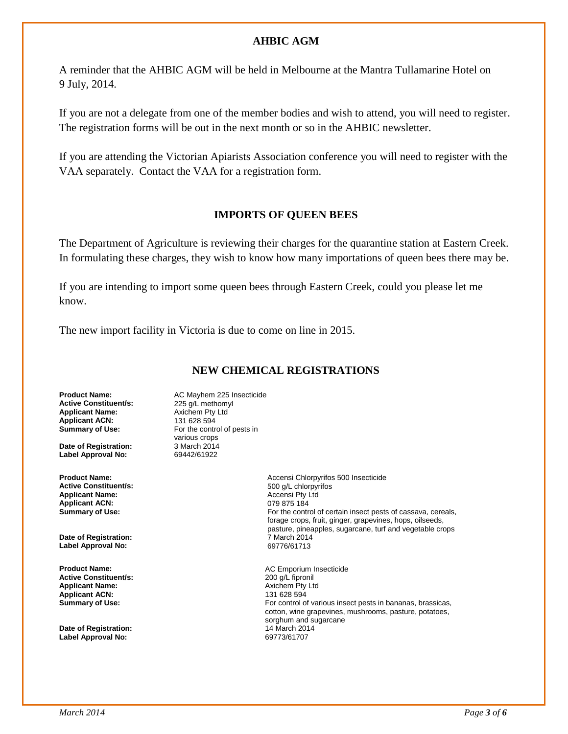#### **AHBIC AGM**

A reminder that the AHBIC AGM will be held in Melbourne at the Mantra Tullamarine Hotel on 9 July, 2014.

If you are not a delegate from one of the member bodies and wish to attend, you will need to register. The registration forms will be out in the next month or so in the AHBIC newsletter.

If you are attending the Victorian Apiarists Association conference you will need to register with the VAA separately. Contact the VAA for a registration form.

#### **IMPORTS OF QUEEN BEES**

The Department of Agriculture is reviewing their charges for the quarantine station at Eastern Creek. In formulating these charges, they wish to know how many importations of queen bees there may be.

If you are intending to import some queen bees through Eastern Creek, could you please let me know.

The new import facility in Victoria is due to come on line in 2015.

## **NEW CHEMICAL REGISTRATIONS**

**Active Constituent/s:** 225 g/L methomy<br> **Applicant Name:** Axichem Pty Ltd **Applicant Name: Axichem Pty**<br>**Applicant ACN: 131 628 594 Applicant ACN:**<br>Summary of Use:

**Date of Registration: Label Approval No:** 69442/61922

**Active Constituent/s:**  $\begin{array}{ccc} 500 \text{ g/L} \end{array}$  chlorpyright and  $\begin{array}{ccc} 500 \text{ g/L} \end{array}$  chlorpyright and  $\begin{array}{ccc} 500 \text{ g/L} \end{array}$ **Applicant Name: Applicant ACN:** 079 875 184<br> **Summary of Use:** Campion Contract Contract Contract Contract Contract Contract Contract Contract Contract Contr

**Date of Registration: Date of Registration:** 7 March 2014 **Label Approval No:** 69776/61713

**Active Constituent/s: Applicant Name:** Axichem Pty Ltd **Applicant ACN:**<br>Summary of Use:

**Date of Registration:** 14 March 2014 **Label Approval No:** 

**Product Name:** <br>**AC Mayhem 225 Insecticide Active Constituent/s:** <br>**225 g/L methomyl** For the control of pests in various crops<br>3 March 2014

**Product Name: Accensi Chlorpyrifos 500 Insecticide**<br> **Active Constituent/s: Active Constituent/s:** 500 **Active Constituent/s:** 500 **Active Constituent** For the control of certain insect pests of cassava, cereals, forage crops, fruit, ginger, grapevines, hops, oilseeds, pasture, pineapples, sugarcane, turf and vegetable crops

**Product Name:** <br> **AC Emporium Insecticide**<br> **Active Constituent/s:** <br> **ACE EMPORTER ACTES**<br>
200 q/L fipronil For control of various insect pests in bananas, brassicas, cotton, wine grapevines, mushrooms, pasture, potatoes, sorghum and sugarcane<br>14 March 2014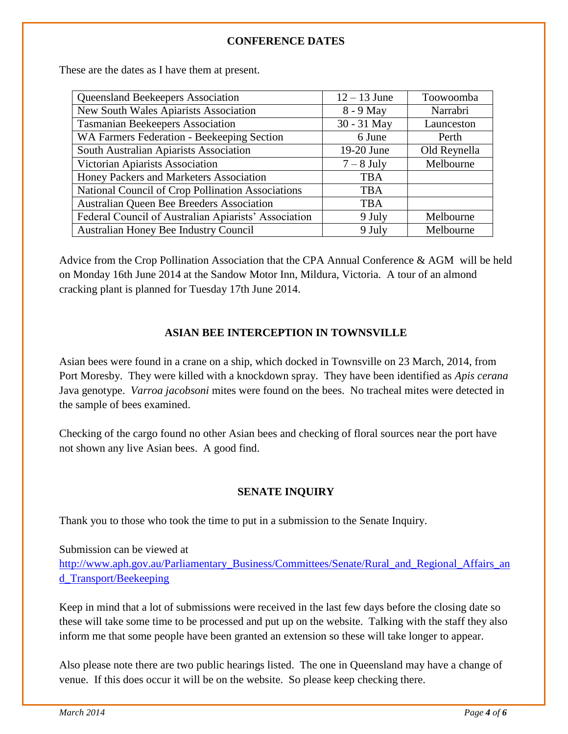## **CONFERENCE DATES**

These are the dates as I have them at present.

| Queensland Beekeepers Association                    | $12 - 13$ June | Toowoomba    |
|------------------------------------------------------|----------------|--------------|
| New South Wales Apiarists Association                | 8 - 9 May      | Narrabri     |
| <b>Tasmanian Beekeepers Association</b>              | 30 - 31 May    | Launceston   |
| WA Farmers Federation - Beekeeping Section           | 6 June         | Perth        |
| South Australian Apiarists Association               | 19-20 June     | Old Reynella |
| Victorian Apiarists Association                      | $7 - 8$ July   | Melbourne    |
| Honey Packers and Marketers Association              | <b>TBA</b>     |              |
| National Council of Crop Pollination Associations    | <b>TBA</b>     |              |
| Australian Queen Bee Breeders Association            | <b>TBA</b>     |              |
| Federal Council of Australian Apiarists' Association | 9 July         | Melbourne    |
| Australian Honey Bee Industry Council                | 9 July         | Melbourne    |

Advice from the Crop Pollination Association that the CPA Annual Conference & AGM will be held on Monday 16th June 2014 at the Sandow Motor Inn, Mildura, Victoria. A tour of an almond cracking plant is planned for Tuesday 17th June 2014.

## **ASIAN BEE INTERCEPTION IN TOWNSVILLE**

Asian bees were found in a crane on a ship, which docked in Townsville on 23 March, 2014, from Port Moresby. They were killed with a knockdown spray. They have been identified as *Apis cerana* Java genotype. *Varroa jacobsoni* mites were found on the bees. No tracheal mites were detected in the sample of bees examined.

Checking of the cargo found no other Asian bees and checking of floral sources near the port have not shown any live Asian bees. A good find.

## **SENATE INQUIRY**

Thank you to those who took the time to put in a submission to the Senate Inquiry.

Submission can be viewed at [http://www.aph.gov.au/Parliamentary\\_Business/Committees/Senate/Rural\\_and\\_Regional\\_Affairs\\_an](http://www.aph.gov.au/Parliamentary_Business/Committees/Senate/Rural_and_Regional_Affairs_and_Transport/Beekeeping) [d\\_Transport/Beekeeping](http://www.aph.gov.au/Parliamentary_Business/Committees/Senate/Rural_and_Regional_Affairs_and_Transport/Beekeeping)

Keep in mind that a lot of submissions were received in the last few days before the closing date so these will take some time to be processed and put up on the website. Talking with the staff they also inform me that some people have been granted an extension so these will take longer to appear.

Also please note there are two public hearings listed. The one in Queensland may have a change of venue. If this does occur it will be on the website. So please keep checking there.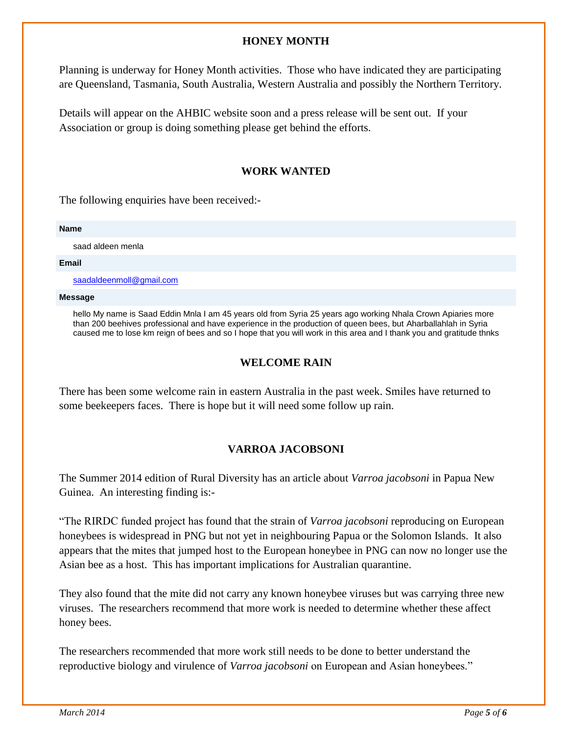#### **HONEY MONTH**

Planning is underway for Honey Month activities. Those who have indicated they are participating are Queensland, Tasmania, South Australia, Western Australia and possibly the Northern Territory.

Details will appear on the AHBIC website soon and a press release will be sent out. If your Association or group is doing something please get behind the efforts.

#### **WORK WANTED**

The following enquiries have been received:-

#### **Name**

saad aldeen menla

#### **Email**

[saadaldeenmoll@gmail.com](mailto:saadaldeenmoll@gmail.com)

#### **Message**

hello My name is Saad Eddin Mnla I am 45 years old from Syria 25 years ago working Nhala Crown Apiaries more than 200 beehives professional and have experience in the production of queen bees, but Aharballahlah in Syria caused me to lose km reign of bees and so I hope that you will work in this area and I thank you and gratitude thnks

#### **WELCOME RAIN**

There has been some welcome rain in eastern Australia in the past week. Smiles have returned to some beekeepers faces. There is hope but it will need some follow up rain.

## **VARROA JACOBSONI**

The Summer 2014 edition of Rural Diversity has an article about *Varroa jacobsoni* in Papua New Guinea. An interesting finding is:-

"The RIRDC funded project has found that the strain of *Varroa jacobsoni* reproducing on European honeybees is widespread in PNG but not yet in neighbouring Papua or the Solomon Islands. It also appears that the mites that jumped host to the European honeybee in PNG can now no longer use the Asian bee as a host. This has important implications for Australian quarantine.

They also found that the mite did not carry any known honeybee viruses but was carrying three new viruses. The researchers recommend that more work is needed to determine whether these affect honey bees.

The researchers recommended that more work still needs to be done to better understand the reproductive biology and virulence of *Varroa jacobsoni* on European and Asian honeybees."